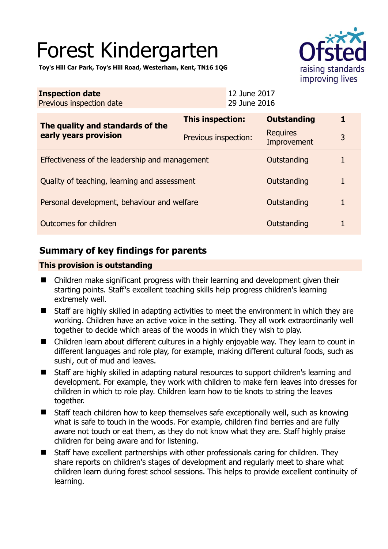# Forest Kindergarten

**Toy's Hill Car Park, Toy's Hill Road, Westerham, Kent, TN16 1QG** 

| <b>Inspection date</b><br>Previous inspection date        |                      | 12 June 2017<br>29 June 2016 |                                |   |
|-----------------------------------------------------------|----------------------|------------------------------|--------------------------------|---|
| The quality and standards of the<br>early years provision | This inspection:     |                              | <b>Outstanding</b>             |   |
|                                                           | Previous inspection: |                              | <b>Requires</b><br>Improvement | 3 |
| Effectiveness of the leadership and management            |                      |                              | Outstanding                    |   |
| Quality of teaching, learning and assessment              |                      |                              | Outstanding                    |   |
| Personal development, behaviour and welfare               |                      |                              | Outstanding                    |   |
| Outcomes for children                                     |                      |                              | Outstanding                    |   |

## **Summary of key findings for parents**

## **This provision is outstanding**

- Children make significant progress with their learning and development given their starting points. Staff's excellent teaching skills help progress children's learning extremely well.
- Staff are highly skilled in adapting activities to meet the environment in which they are working. Children have an active voice in the setting. They all work extraordinarily well together to decide which areas of the woods in which they wish to play.
- Children learn about different cultures in a highly enjoyable way. They learn to count in different languages and role play, for example, making different cultural foods, such as sushi, out of mud and leaves.
- Staff are highly skilled in adapting natural resources to support children's learning and development. For example, they work with children to make fern leaves into dresses for children in which to role play. Children learn how to tie knots to string the leaves together.
- Staff teach children how to keep themselves safe exceptionally well, such as knowing what is safe to touch in the woods. For example, children find berries and are fully aware not touch or eat them, as they do not know what they are. Staff highly praise children for being aware and for listening.
- Staff have excellent partnerships with other professionals caring for children. They share reports on children's stages of development and regularly meet to share what children learn during forest school sessions. This helps to provide excellent continuity of learning.

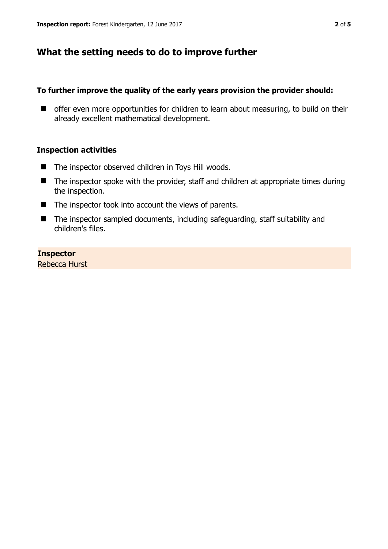## **What the setting needs to do to improve further**

## **To further improve the quality of the early years provision the provider should:**

 $\blacksquare$  offer even more opportunities for children to learn about measuring, to build on their already excellent mathematical development.

## **Inspection activities**

- The inspector observed children in Toys Hill woods.
- $\blacksquare$  The inspector spoke with the provider, staff and children at appropriate times during the inspection.
- $\blacksquare$  The inspector took into account the views of parents.
- The inspector sampled documents, including safeguarding, staff suitability and children's files.

## **Inspector**

Rebecca Hurst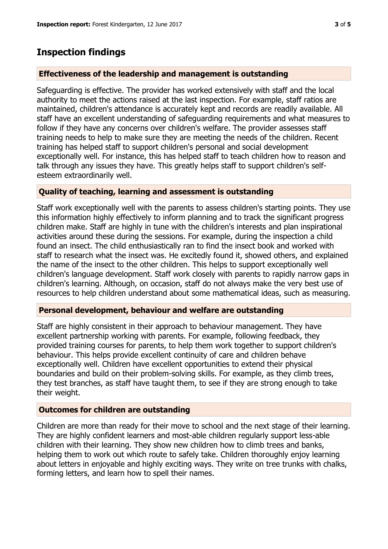## **Inspection findings**

#### **Effectiveness of the leadership and management is outstanding**

Safeguarding is effective. The provider has worked extensively with staff and the local authority to meet the actions raised at the last inspection. For example, staff ratios are maintained, children's attendance is accurately kept and records are readily available. All staff have an excellent understanding of safeguarding requirements and what measures to follow if they have any concerns over children's welfare. The provider assesses staff training needs to help to make sure they are meeting the needs of the children. Recent training has helped staff to support children's personal and social development exceptionally well. For instance, this has helped staff to teach children how to reason and talk through any issues they have. This greatly helps staff to support children's selfesteem extraordinarily well.

## **Quality of teaching, learning and assessment is outstanding**

Staff work exceptionally well with the parents to assess children's starting points. They use this information highly effectively to inform planning and to track the significant progress children make. Staff are highly in tune with the children's interests and plan inspirational activities around these during the sessions. For example, during the inspection a child found an insect. The child enthusiastically ran to find the insect book and worked with staff to research what the insect was. He excitedly found it, showed others, and explained the name of the insect to the other children. This helps to support exceptionally well children's language development. Staff work closely with parents to rapidly narrow gaps in children's learning. Although, on occasion, staff do not always make the very best use of resources to help children understand about some mathematical ideas, such as measuring.

#### **Personal development, behaviour and welfare are outstanding**

Staff are highly consistent in their approach to behaviour management. They have excellent partnership working with parents. For example, following feedback, they provided training courses for parents, to help them work together to support children's behaviour. This helps provide excellent continuity of care and children behave exceptionally well. Children have excellent opportunities to extend their physical boundaries and build on their problem-solving skills. For example, as they climb trees, they test branches, as staff have taught them, to see if they are strong enough to take their weight.

#### **Outcomes for children are outstanding**

Children are more than ready for their move to school and the next stage of their learning. They are highly confident learners and most-able children regularly support less-able children with their learning. They show new children how to climb trees and banks, helping them to work out which route to safely take. Children thoroughly enjoy learning about letters in enjoyable and highly exciting ways. They write on tree trunks with chalks, forming letters, and learn how to spell their names.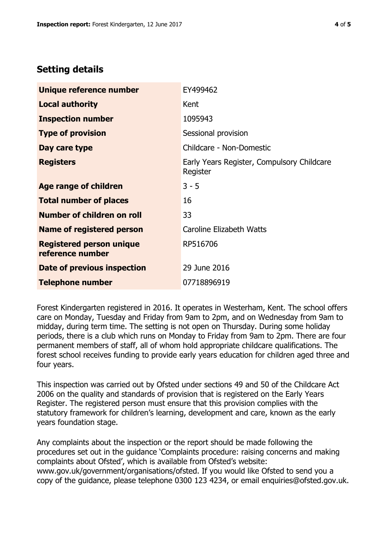## **Setting details**

| Unique reference number                             | EY499462                                               |  |
|-----------------------------------------------------|--------------------------------------------------------|--|
| <b>Local authority</b>                              | Kent                                                   |  |
| <b>Inspection number</b>                            | 1095943                                                |  |
| <b>Type of provision</b>                            | Sessional provision                                    |  |
| Day care type                                       | Childcare - Non-Domestic                               |  |
| <b>Registers</b>                                    | Early Years Register, Compulsory Childcare<br>Register |  |
| Age range of children                               | $3 - 5$                                                |  |
| <b>Total number of places</b>                       | 16                                                     |  |
| Number of children on roll                          | 33                                                     |  |
| Name of registered person                           | Caroline Elizabeth Watts                               |  |
| <b>Registered person unique</b><br>reference number | RP516706                                               |  |
| Date of previous inspection                         | 29 June 2016                                           |  |
| <b>Telephone number</b>                             | 07718896919                                            |  |

Forest Kindergarten registered in 2016. It operates in Westerham, Kent. The school offers care on Monday, Tuesday and Friday from 9am to 2pm, and on Wednesday from 9am to midday, during term time. The setting is not open on Thursday. During some holiday periods, there is a club which runs on Monday to Friday from 9am to 2pm. There are four permanent members of staff, all of whom hold appropriate childcare qualifications. The forest school receives funding to provide early years education for children aged three and four years.

This inspection was carried out by Ofsted under sections 49 and 50 of the Childcare Act 2006 on the quality and standards of provision that is registered on the Early Years Register. The registered person must ensure that this provision complies with the statutory framework for children's learning, development and care, known as the early years foundation stage.

Any complaints about the inspection or the report should be made following the procedures set out in the guidance 'Complaints procedure: raising concerns and making complaints about Ofsted', which is available from Ofsted's website: www.gov.uk/government/organisations/ofsted. If you would like Ofsted to send you a copy of the guidance, please telephone 0300 123 4234, or email enquiries@ofsted.gov.uk.